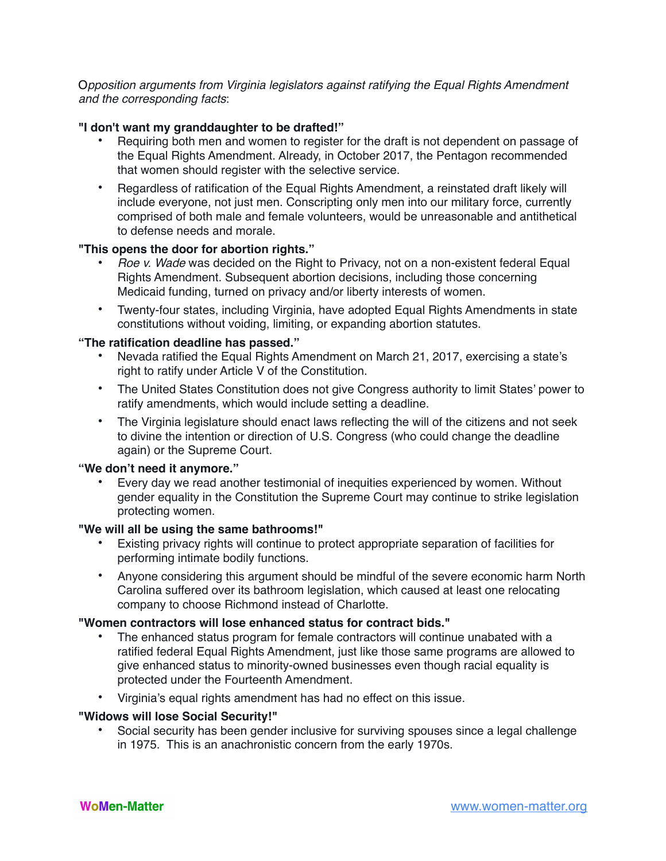O*pposition arguments from Virginia legislators against ratifying the Equal Rights Amendment and the corresponding facts*:

## **"I don't want my granddaughter to be drafted!"**

- Requiring both men and women to register for the draft is not dependent on passage of the Equal Rights Amendment. Already, in October 2017, the Pentagon recommended that women should register with the selective service.
- Regardless of ratification of the Equal Rights Amendment, a reinstated draft likely will include everyone, not just men. Conscripting only men into our military force, currently comprised of both male and female volunteers, would be unreasonable and antithetical to defense needs and morale.

## **"This opens the door for abortion rights."**

- *Roe v. Wade* was decided on the Right to Privacy, not on a non-existent federal Equal Rights Amendment. Subsequent abortion decisions, including those concerning Medicaid funding, turned on privacy and/or liberty interests of women.
- Twenty-four states, including Virginia, have adopted Equal Rights Amendments in state constitutions without voiding, limiting, or expanding abortion statutes.

## **"The ratification deadline has passed."**

- Nevada ratified the Equal Rights Amendment on March 21, 2017, exercising a state's right to ratify under Article V of the Constitution.
- The United States Constitution does not give Congress authority to limit States' power to ratify amendments, which would include setting a deadline.
- The Virginia legislature should enact laws reflecting the will of the citizens and not seek to divine the intention or direction of U.S. Congress (who could change the deadline again) or the Supreme Court.

## **"We don't need it anymore."**

• Every day we read another testimonial of inequities experienced by women. Without gender equality in the Constitution the Supreme Court may continue to strike legislation protecting women.

# **"We will all be using the same bathrooms!"**

- Existing privacy rights will continue to protect appropriate separation of facilities for performing intimate bodily functions.
- Anyone considering this argument should be mindful of the severe economic harm North Carolina suffered over its bathroom legislation, which caused at least one relocating company to choose Richmond instead of Charlotte.

# **"Women contractors will lose enhanced status for contract bids."**

- The enhanced status program for female contractors will continue unabated with a ratified federal Equal Rights Amendment, just like those same programs are allowed to give enhanced status to minority-owned businesses even though racial equality is protected under the Fourteenth Amendment.
- Virginia's equal rights amendment has had no effect on this issue.

## **"Widows will lose Social Security!"**

• Social security has been gender inclusive for surviving spouses since a legal challenge in 1975. This is an anachronistic concern from the early 1970s.